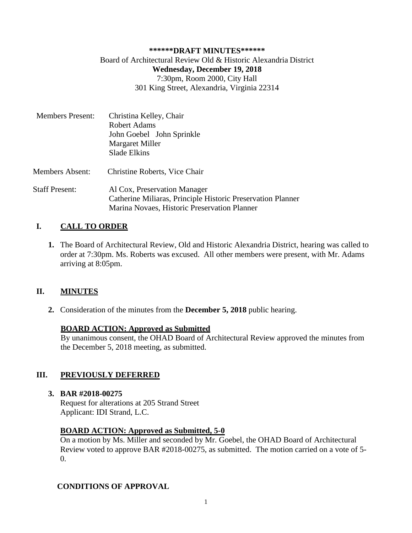### **\*\*\*\*\*\*DRAFT MINUTES\*\*\*\*\*\*** Board of Architectural Review Old & Historic Alexandria District **Wednesday, December 19, 2018** 7:30pm, Room 2000, City Hall 301 King Street, Alexandria, Virginia 22314

| <b>Members Present:</b> | Christina Kelley, Chair<br><b>Robert Adams</b><br>John Goebel John Sprinkle<br>Margaret Miller<br>Slade Elkins                              |
|-------------------------|---------------------------------------------------------------------------------------------------------------------------------------------|
| <b>Members Absent:</b>  | Christine Roberts, Vice Chair                                                                                                               |
| <b>Staff Present:</b>   | Al Cox, Preservation Manager<br>Catherine Miliaras, Principle Historic Preservation Planner<br>Marina Novaes, Historic Preservation Planner |

# **I. CALL TO ORDER**

**1.** The Board of Architectural Review, Old and Historic Alexandria District, hearing was called to order at 7:30pm. Ms. Roberts was excused. All other members were present, with Mr. Adams arriving at 8:05pm.

## **II. MINUTES**

**2.** Consideration of the minutes from the **December 5, 2018** public hearing.

#### **BOARD ACTION: Approved as Submitted**

By unanimous consent, the OHAD Board of Architectural Review approved the minutes from the December 5, 2018 meeting, as submitted.

## **III. PREVIOUSLY DEFERRED**

#### **3. BAR #2018-00275**

Request for alterations at 205 Strand Street Applicant: IDI Strand, L.C.

#### **BOARD ACTION: Approved as Submitted, 5-0**

On a motion by Ms. Miller and seconded by Mr. Goebel, the OHAD Board of Architectural Review voted to approve BAR #2018-00275, as submitted. The motion carried on a vote of 5- 0.

## **CONDITIONS OF APPROVAL**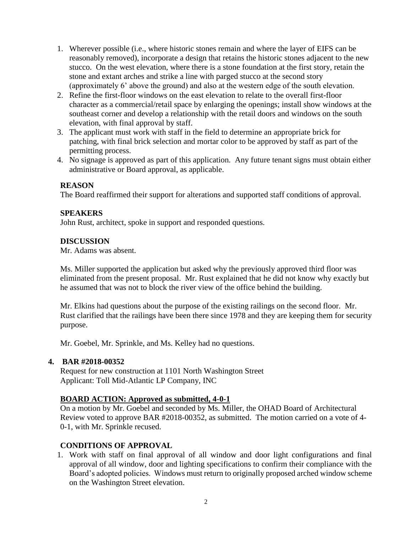- 1. Wherever possible (i.e., where historic stones remain and where the layer of EIFS can be reasonably removed), incorporate a design that retains the historic stones adjacent to the new stucco. On the west elevation, where there is a stone foundation at the first story, retain the stone and extant arches and strike a line with parged stucco at the second story (approximately 6' above the ground) and also at the western edge of the south elevation.
- 2. Refine the first-floor windows on the east elevation to relate to the overall first-floor character as a commercial/retail space by enlarging the openings; install show windows at the southeast corner and develop a relationship with the retail doors and windows on the south elevation, with final approval by staff.
- 3. The applicant must work with staff in the field to determine an appropriate brick for patching, with final brick selection and mortar color to be approved by staff as part of the permitting process.
- 4. No signage is approved as part of this application. Any future tenant signs must obtain either administrative or Board approval, as applicable.

The Board reaffirmed their support for alterations and supported staff conditions of approval.

#### **SPEAKERS**

John Rust, architect, spoke in support and responded questions.

#### **DISCUSSION**

Mr. Adams was absent.

Ms. Miller supported the application but asked why the previously approved third floor was eliminated from the present proposal. Mr. Rust explained that he did not know why exactly but he assumed that was not to block the river view of the office behind the building.

Mr. Elkins had questions about the purpose of the existing railings on the second floor. Mr. Rust clarified that the railings have been there since 1978 and they are keeping them for security purpose.

Mr. Goebel, Mr. Sprinkle, and Ms. Kelley had no questions.

#### **4. BAR #2018-00352**

Request for new construction at 1101 North Washington Street Applicant: Toll Mid-Atlantic LP Company, INC

#### **BOARD ACTION: Approved as submitted, 4-0-1**

On a motion by Mr. Goebel and seconded by Ms. Miller, the OHAD Board of Architectural Review voted to approve BAR #2018-00352, as submitted. The motion carried on a vote of 4- 0-1, with Mr. Sprinkle recused.

#### **CONDITIONS OF APPROVAL**

1. Work with staff on final approval of all window and door light configurations and final approval of all window, door and lighting specifications to confirm their compliance with the Board's adopted policies. Windows must return to originally proposed arched window scheme on the Washington Street elevation.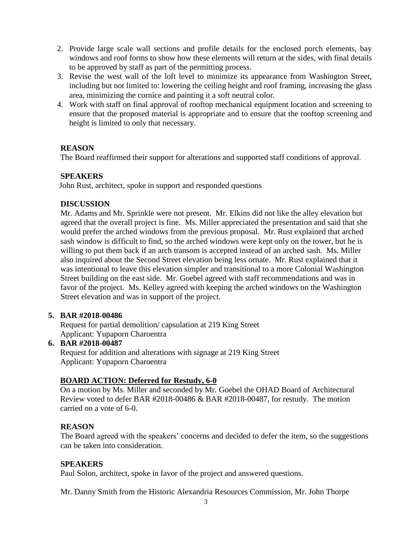- 2. Provide large scale wall sections and profile details for the enclosed porch elements, bay windows and roof forms to show how these elements will return at the sides, with final details to be approved by staff as part of the permitting process.
- 3. Revise the west wall of the loft level to minimize its appearance from Washington Street, including but not limited to: lowering the ceiling height and roof framing, increasing the glass area, minimizing the cornice and painting it a soft neutral color.
- 4. Work with staff on final approval of rooftop mechanical equipment location and screening to ensure that the proposed material is appropriate and to ensure that the rooftop screening and height is limited to only that necessary.

The Board reaffirmed their support for alterations and supported staff conditions of approval.

# **SPEAKERS**

John Rust, architect, spoke in support and responded questions

# **DISCUSSION**

Mr. Adams and Mr. Sprinkle were not present. Mr. Elkins did not like the alley elevation but agreed that the overall project is fine. Ms. Miller appreciated the presentation and said that she would prefer the arched windows from the previous proposal. Mr. Rust explained that arched sash window is difficult to find, so the arched windows were kept only on the tower, but he is willing to put them back if an arch transom is accepted instead of an arched sash. Ms. Miller also inquired about the Second Street elevation being less ornate. Mr. Rust explained that it was intentional to leave this elevation simpler and transitional to a more Colonial Washington Street building on the east side. Mr. Goebel agreed with staff recommendations and was in favor of the project. Ms. Kelley agreed with keeping the arched windows on the Washington Street elevation and was in support of the project.

## **5. BAR #2018-00486**

Request for partial demolition/ capsulation at 219 King Street Applicant: Yupaporn Charoentra

# **6. BAR #2018-00487**

Request for addition and alterations with signage at 219 King Street Applicant: Yupaporn Charoentra

# **BOARD ACTION: Deferred for Restudy, 6-0**

On a motion by Ms. Miller and seconded by Mr. Goebel the OHAD Board of Architectural Review voted to defer BAR #2018-00486 & BAR #2018-00487, for restudy. The motion carried on a vote of 6-0.

## **REASON**

The Board agreed with the speakers' concerns and decided to defer the item, so the suggestions can be taken into consideration.

## **SPEAKERS**

Paul Solon, architect, spoke in favor of the project and answered questions.

Mr. Danny Smith from the Historic Alexandria Resources Commission, Mr. John Thorpe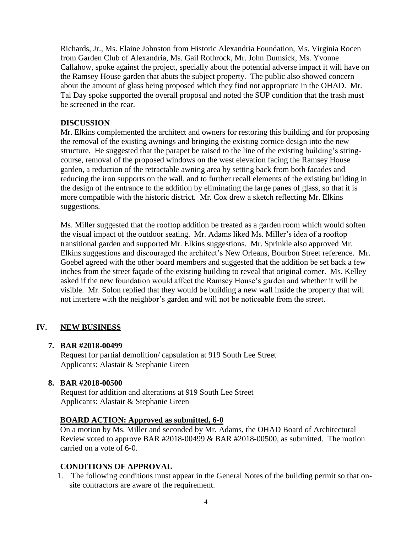Richards, Jr., Ms. Elaine Johnston from Historic Alexandria Foundation, Ms. Virginia Rocen from Garden Club of Alexandria, Ms. Gail Rothrock, Mr. John Dumsick, Ms. Yvonne Callahow, spoke against the project, specially about the potential adverse impact it will have on the Ramsey House garden that abuts the subject property. The public also showed concern about the amount of glass being proposed which they find not appropriate in the OHAD. Mr. Tal Day spoke supported the overall proposal and noted the SUP condition that the trash must be screened in the rear.

### **DISCUSSION**

Mr. Elkins complemented the architect and owners for restoring this building and for proposing the removal of the existing awnings and bringing the existing cornice design into the new structure. He suggested that the parapet be raised to the line of the existing building's stringcourse, removal of the proposed windows on the west elevation facing the Ramsey House garden, a reduction of the retractable awning area by setting back from both facades and reducing the iron supports on the wall, and to further recall elements of the existing building in the design of the entrance to the addition by eliminating the large panes of glass, so that it is more compatible with the historic district. Mr. Cox drew a sketch reflecting Mr. Elkins suggestions.

Ms. Miller suggested that the rooftop addition be treated as a garden room which would soften the visual impact of the outdoor seating. Mr. Adams liked Ms. Miller's idea of a rooftop transitional garden and supported Mr. Elkins suggestions. Mr. Sprinkle also approved Mr. Elkins suggestions and discouraged the architect's New Orleans, Bourbon Street reference. Mr. Goebel agreed with the other board members and suggested that the addition be set back a few inches from the street façade of the existing building to reveal that original corner. Ms. Kelley asked if the new foundation would affect the Ramsey House's garden and whether it will be visible. Mr. Solon replied that they would be building a new wall inside the property that will not interfere with the neighbor's garden and will not be noticeable from the street.

## **IV. NEW BUSINESS**

#### **7. BAR #2018-00499**

Request for partial demolition/ capsulation at 919 South Lee Street Applicants: Alastair & Stephanie Green

#### **8. BAR #2018-00500**

Request for addition and alterations at 919 South Lee Street Applicants: Alastair & Stephanie Green

## **BOARD ACTION: Approved as submitted, 6-0**

On a motion by Ms. Miller and seconded by Mr. Adams, the OHAD Board of Architectural Review voted to approve BAR #2018-00499 & BAR #2018-00500, as submitted. The motion carried on a vote of 6-0.

## **CONDITIONS OF APPROVAL**

1. The following conditions must appear in the General Notes of the building permit so that onsite contractors are aware of the requirement.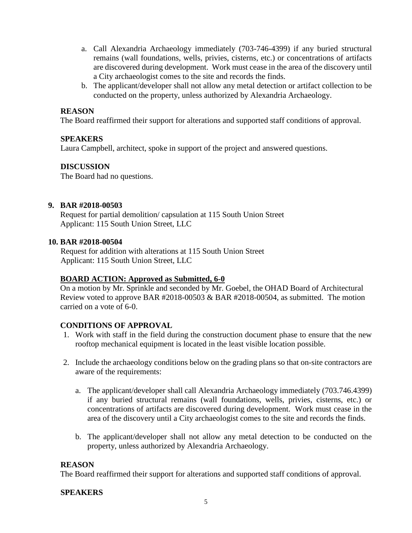- a. Call Alexandria Archaeology immediately (703-746-4399) if any buried structural remains (wall foundations, wells, privies, cisterns, etc.) or concentrations of artifacts are discovered during development. Work must cease in the area of the discovery until a City archaeologist comes to the site and records the finds.
- b. The applicant/developer shall not allow any metal detection or artifact collection to be conducted on the property, unless authorized by Alexandria Archaeology.

The Board reaffirmed their support for alterations and supported staff conditions of approval.

### **SPEAKERS**

Laura Campbell, architect, spoke in support of the project and answered questions.

### **DISCUSSION**

The Board had no questions.

### **9. BAR #2018-00503**

Request for partial demolition/ capsulation at 115 South Union Street Applicant: 115 South Union Street, LLC

#### **10. BAR #2018-00504**

Request for addition with alterations at 115 South Union Street Applicant: 115 South Union Street, LLC

#### **BOARD ACTION: Approved as Submitted, 6-0**

On a motion by Mr. Sprinkle and seconded by Mr. Goebel, the OHAD Board of Architectural Review voted to approve BAR  $\#2018-00503 \&$  BAR  $\#2018-00504$ , as submitted. The motion carried on a vote of 6-0.

#### **CONDITIONS OF APPROVAL**

- 1. Work with staff in the field during the construction document phase to ensure that the new rooftop mechanical equipment is located in the least visible location possible.
- 2. Include the archaeology conditions below on the grading plans so that on-site contractors are aware of the requirements:
	- a. The applicant/developer shall call Alexandria Archaeology immediately (703.746.4399) if any buried structural remains (wall foundations, wells, privies, cisterns, etc.) or concentrations of artifacts are discovered during development. Work must cease in the area of the discovery until a City archaeologist comes to the site and records the finds.
	- b. The applicant/developer shall not allow any metal detection to be conducted on the property, unless authorized by Alexandria Archaeology.

#### **REASON**

The Board reaffirmed their support for alterations and supported staff conditions of approval.

#### **SPEAKERS**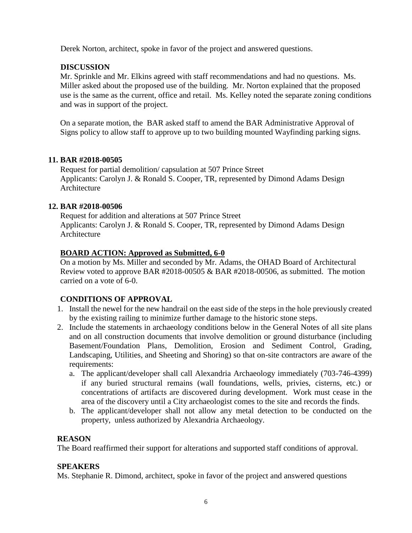Derek Norton, architect, spoke in favor of the project and answered questions.

## **DISCUSSION**

Mr. Sprinkle and Mr. Elkins agreed with staff recommendations and had no questions. Ms. Miller asked about the proposed use of the building. Mr. Norton explained that the proposed use is the same as the current, office and retail. Ms. Kelley noted the separate zoning conditions and was in support of the project.

On a separate motion, the BAR asked staff to amend the BAR Administrative Approval of Signs policy to allow staff to approve up to two building mounted Wayfinding parking signs.

### **11. BAR #2018-00505**

Request for partial demolition/ capsulation at 507 Prince Street Applicants: Carolyn J. & Ronald S. Cooper, TR, represented by Dimond Adams Design Architecture

### **12. BAR #2018-00506**

Request for addition and alterations at 507 Prince Street Applicants: Carolyn J. & Ronald S. Cooper, TR, represented by Dimond Adams Design Architecture

## **BOARD ACTION: Approved as Submitted, 6-0**

On a motion by Ms. Miller and seconded by Mr. Adams, the OHAD Board of Architectural Review voted to approve BAR  $\#2018-00505 \&$  BAR  $\#2018-00506$ , as submitted. The motion carried on a vote of 6-0.

## **CONDITIONS OF APPROVAL**

- 1. Install the newel for the new handrail on the east side of the steps in the hole previously created by the existing railing to minimize further damage to the historic stone steps.
- 2. Include the statements in archaeology conditions below in the General Notes of all site plans and on all construction documents that involve demolition or ground disturbance (including Basement/Foundation Plans, Demolition, Erosion and Sediment Control, Grading, Landscaping, Utilities, and Sheeting and Shoring) so that on-site contractors are aware of the requirements:
	- a. The applicant/developer shall call Alexandria Archaeology immediately (703-746-4399) if any buried structural remains (wall foundations, wells, privies, cisterns, etc.) or concentrations of artifacts are discovered during development. Work must cease in the area of the discovery until a City archaeologist comes to the site and records the finds.
	- b. The applicant/developer shall not allow any metal detection to be conducted on the property, unless authorized by Alexandria Archaeology.

## **REASON**

The Board reaffirmed their support for alterations and supported staff conditions of approval.

## **SPEAKERS**

Ms. Stephanie R. Dimond, architect, spoke in favor of the project and answered questions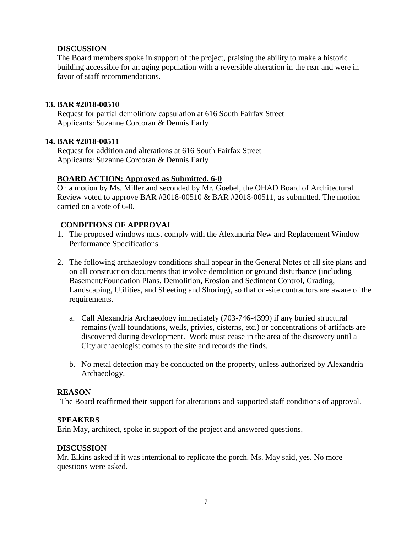### **DISCUSSION**

The Board members spoke in support of the project, praising the ability to make a historic building accessible for an aging population with a reversible alteration in the rear and were in favor of staff recommendations.

### **13. BAR #2018-00510**

Request for partial demolition/ capsulation at 616 South Fairfax Street Applicants: Suzanne Corcoran & Dennis Early

### **14. BAR #2018-00511**

Request for addition and alterations at 616 South Fairfax Street Applicants: Suzanne Corcoran & Dennis Early

## **BOARD ACTION: Approved as Submitted, 6-0**

On a motion by Ms. Miller and seconded by Mr. Goebel, the OHAD Board of Architectural Review voted to approve BAR #2018-00510 & BAR #2018-00511, as submitted. The motion carried on a vote of 6-0.

### **CONDITIONS OF APPROVAL**

- 1. The proposed windows must comply with the Alexandria New and Replacement Window Performance Specifications.
- 2. The following archaeology conditions shall appear in the General Notes of all site plans and on all construction documents that involve demolition or ground disturbance (including Basement/Foundation Plans, Demolition, Erosion and Sediment Control, Grading, Landscaping, Utilities, and Sheeting and Shoring), so that on-site contractors are aware of the requirements.
	- a. Call Alexandria Archaeology immediately (703-746-4399) if any buried structural remains (wall foundations, wells, privies, cisterns, etc.) or concentrations of artifacts are discovered during development. Work must cease in the area of the discovery until a City archaeologist comes to the site and records the finds.
	- b. No metal detection may be conducted on the property, unless authorized by Alexandria Archaeology.

#### **REASON**

The Board reaffirmed their support for alterations and supported staff conditions of approval.

#### **SPEAKERS**

Erin May, architect, spoke in support of the project and answered questions.

#### **DISCUSSION**

Mr. Elkins asked if it was intentional to replicate the porch. Ms. May said, yes. No more questions were asked.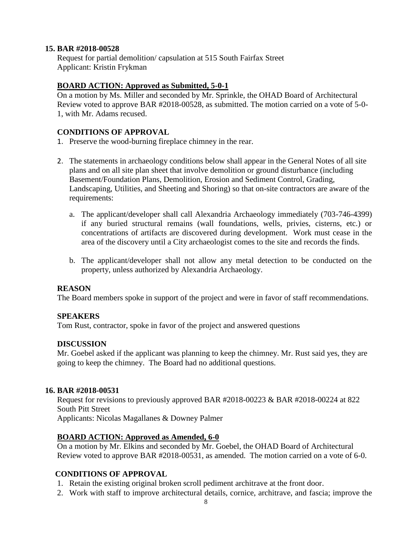#### **15. BAR #2018-00528**

Request for partial demolition/ capsulation at 515 South Fairfax Street Applicant: Kristin Frykman

### **BOARD ACTION: Approved as Submitted, 5-0-1**

On a motion by Ms. Miller and seconded by Mr. Sprinkle, the OHAD Board of Architectural Review voted to approve BAR #2018-00528, as submitted. The motion carried on a vote of 5-0- 1, with Mr. Adams recused.

### **CONDITIONS OF APPROVAL**

- 1. Preserve the wood-burning fireplace chimney in the rear.
- 2. The statements in archaeology conditions below shall appear in the General Notes of all site plans and on all site plan sheet that involve demolition or ground disturbance (including Basement/Foundation Plans, Demolition, Erosion and Sediment Control, Grading, Landscaping, Utilities, and Sheeting and Shoring) so that on-site contractors are aware of the requirements:
	- a. The applicant/developer shall call Alexandria Archaeology immediately (703-746-4399) if any buried structural remains (wall foundations, wells, privies, cisterns, etc.) or concentrations of artifacts are discovered during development. Work must cease in the area of the discovery until a City archaeologist comes to the site and records the finds.
	- b. The applicant/developer shall not allow any metal detection to be conducted on the property, unless authorized by Alexandria Archaeology.

#### **REASON**

The Board members spoke in support of the project and were in favor of staff recommendations.

#### **SPEAKERS**

Tom Rust, contractor, spoke in favor of the project and answered questions

#### **DISCUSSION**

Mr. Goebel asked if the applicant was planning to keep the chimney. Mr. Rust said yes, they are going to keep the chimney. The Board had no additional questions.

#### **16. BAR #2018-00531**

Request for revisions to previously approved BAR #2018-00223 & BAR #2018-00224 at 822 South Pitt Street Applicants: Nicolas Magallanes & Downey Palmer

#### **BOARD ACTION: Approved as Amended, 6-0**

On a motion by Mr. Elkins and seconded by Mr. Goebel, the OHAD Board of Architectural Review voted to approve BAR #2018-00531, as amended. The motion carried on a vote of 6-0.

#### **CONDITIONS OF APPROVAL**

- 1. Retain the existing original broken scroll pediment architrave at the front door.
- 2. Work with staff to improve architectural details, cornice, architrave, and fascia; improve the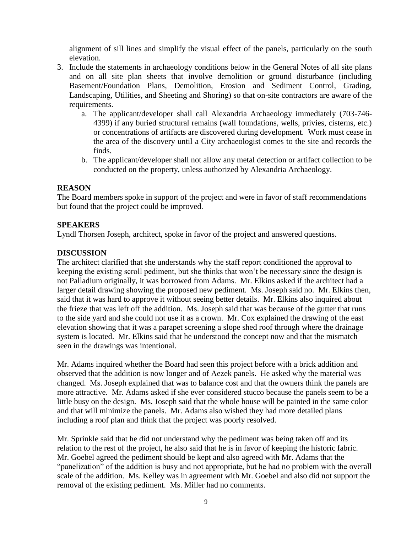alignment of sill lines and simplify the visual effect of the panels, particularly on the south elevation.

- 3. Include the statements in archaeology conditions below in the General Notes of all site plans and on all site plan sheets that involve demolition or ground disturbance (including Basement/Foundation Plans, Demolition, Erosion and Sediment Control, Grading, Landscaping, Utilities, and Sheeting and Shoring) so that on-site contractors are aware of the requirements.
	- a. The applicant/developer shall call Alexandria Archaeology immediately (703-746- 4399) if any buried structural remains (wall foundations, wells, privies, cisterns, etc.) or concentrations of artifacts are discovered during development. Work must cease in the area of the discovery until a City archaeologist comes to the site and records the finds.
	- b. The applicant/developer shall not allow any metal detection or artifact collection to be conducted on the property, unless authorized by Alexandria Archaeology.

## **REASON**

The Board members spoke in support of the project and were in favor of staff recommendations but found that the project could be improved.

### **SPEAKERS**

Lyndl Thorsen Joseph, architect, spoke in favor of the project and answered questions.

### **DISCUSSION**

The architect clarified that she understands why the staff report conditioned the approval to keeping the existing scroll pediment, but she thinks that won't be necessary since the design is not Palladium originally, it was borrowed from Adams. Mr. Elkins asked if the architect had a larger detail drawing showing the proposed new pediment. Ms. Joseph said no. Mr. Elkins then, said that it was hard to approve it without seeing better details. Mr. Elkins also inquired about the frieze that was left off the addition. Ms. Joseph said that was because of the gutter that runs to the side yard and she could not use it as a crown. Mr. Cox explained the drawing of the east elevation showing that it was a parapet screening a slope shed roof through where the drainage system is located. Mr. Elkins said that he understood the concept now and that the mismatch seen in the drawings was intentional.

Mr. Adams inquired whether the Board had seen this project before with a brick addition and observed that the addition is now longer and of Aezek panels. He asked why the material was changed. Ms. Joseph explained that was to balance cost and that the owners think the panels are more attractive. Mr. Adams asked if she ever considered stucco because the panels seem to be a little busy on the design. Ms. Joseph said that the whole house will be painted in the same color and that will minimize the panels. Mr. Adams also wished they had more detailed plans including a roof plan and think that the project was poorly resolved.

Mr. Sprinkle said that he did not understand why the pediment was being taken off and its relation to the rest of the project, he also said that he is in favor of keeping the historic fabric. Mr. Goebel agreed the pediment should be kept and also agreed with Mr. Adams that the "panelization" of the addition is busy and not appropriate, but he had no problem with the overall scale of the addition. Ms. Kelley was in agreement with Mr. Goebel and also did not support the removal of the existing pediment. Ms. Miller had no comments.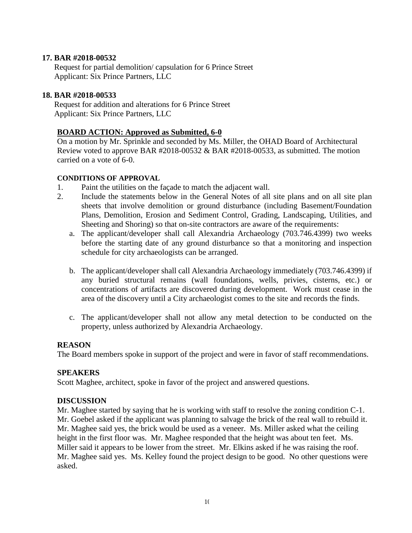### **17. BAR #2018-00532**

Request for partial demolition/ capsulation for 6 Prince Street Applicant: Six Prince Partners, LLC

### **18. BAR #2018-00533**

Request for addition and alterations for 6 Prince Street Applicant: Six Prince Partners, LLC

### **BOARD ACTION: Approved as Submitted, 6-0**

On a motion by Mr. Sprinkle and seconded by Ms. Miller, the OHAD Board of Architectural Review voted to approve BAR #2018-00532 & BAR #2018-00533, as submitted. The motion carried on a vote of 6-0.

#### **CONDITIONS OF APPROVAL**

- 1. Paint the utilities on the façade to match the adjacent wall.
- 2. Include the statements below in the General Notes of all site plans and on all site plan sheets that involve demolition or ground disturbance (including Basement/Foundation Plans, Demolition, Erosion and Sediment Control, Grading, Landscaping, Utilities, and Sheeting and Shoring) so that on-site contractors are aware of the requirements:
	- a. The applicant/developer shall call Alexandria Archaeology (703.746.4399) two weeks before the starting date of any ground disturbance so that a monitoring and inspection schedule for city archaeologists can be arranged.
	- b. The applicant/developer shall call Alexandria Archaeology immediately (703.746.4399) if any buried structural remains (wall foundations, wells, privies, cisterns, etc.) or concentrations of artifacts are discovered during development. Work must cease in the area of the discovery until a City archaeologist comes to the site and records the finds.
	- c. The applicant/developer shall not allow any metal detection to be conducted on the property, unless authorized by Alexandria Archaeology.

#### **REASON**

The Board members spoke in support of the project and were in favor of staff recommendations.

#### **SPEAKERS**

Scott Maghee, architect, spoke in favor of the project and answered questions.

#### **DISCUSSION**

Mr. Maghee started by saying that he is working with staff to resolve the zoning condition C-1. Mr. Goebel asked if the applicant was planning to salvage the brick of the real wall to rebuild it. Mr. Maghee said yes, the brick would be used as a veneer. Ms. Miller asked what the ceiling height in the first floor was. Mr. Maghee responded that the height was about ten feet. Ms. Miller said it appears to be lower from the street. Mr. Elkins asked if he was raising the roof. Mr. Maghee said yes. Ms. Kelley found the project design to be good. No other questions were asked.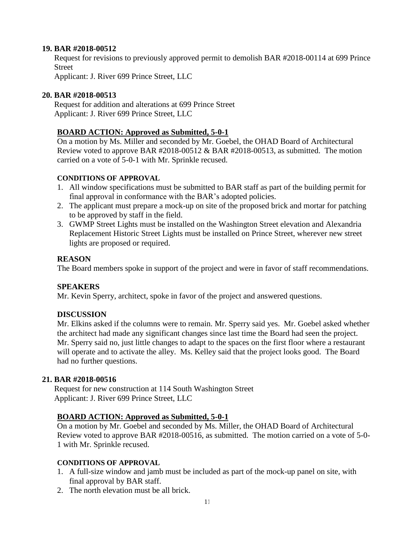### **19. BAR #2018-00512**

Request for revisions to previously approved permit to demolish BAR #2018-00114 at 699 Prince Street

Applicant: J. River 699 Prince Street, LLC

### **20. BAR #2018-00513**

Request for addition and alterations at 699 Prince Street Applicant: J. River 699 Prince Street, LLC

### **BOARD ACTION: Approved as Submitted, 5-0-1**

On a motion by Ms. Miller and seconded by Mr. Goebel, the OHAD Board of Architectural Review voted to approve BAR #2018-00512 & BAR #2018-00513, as submitted. The motion carried on a vote of 5-0-1 with Mr. Sprinkle recused.

### **CONDITIONS OF APPROVAL**

- 1. All window specifications must be submitted to BAR staff as part of the building permit for final approval in conformance with the BAR's adopted policies.
- 2. The applicant must prepare a mock-up on site of the proposed brick and mortar for patching to be approved by staff in the field.
- 3. GWMP Street Lights must be installed on the Washington Street elevation and Alexandria Replacement Historic Street Lights must be installed on Prince Street, wherever new street lights are proposed or required.

### **REASON**

The Board members spoke in support of the project and were in favor of staff recommendations.

## **SPEAKERS**

Mr. Kevin Sperry, architect, spoke in favor of the project and answered questions.

## **DISCUSSION**

Mr. Elkins asked if the columns were to remain. Mr. Sperry said yes. Mr. Goebel asked whether the architect had made any significant changes since last time the Board had seen the project. Mr. Sperry said no, just little changes to adapt to the spaces on the first floor where a restaurant will operate and to activate the alley. Ms. Kelley said that the project looks good. The Board had no further questions.

## **21. BAR #2018-00516**

Request for new construction at 114 South Washington Street Applicant: J. River 699 Prince Street, LLC

## **BOARD ACTION: Approved as Submitted, 5-0-1**

On a motion by Mr. Goebel and seconded by Ms. Miller, the OHAD Board of Architectural Review voted to approve BAR #2018-00516, as submitted. The motion carried on a vote of 5-0- 1 with Mr. Sprinkle recused.

## **CONDITIONS OF APPROVAL**

- 1. A full-size window and jamb must be included as part of the mock-up panel on site, with final approval by BAR staff.
- 2. The north elevation must be all brick.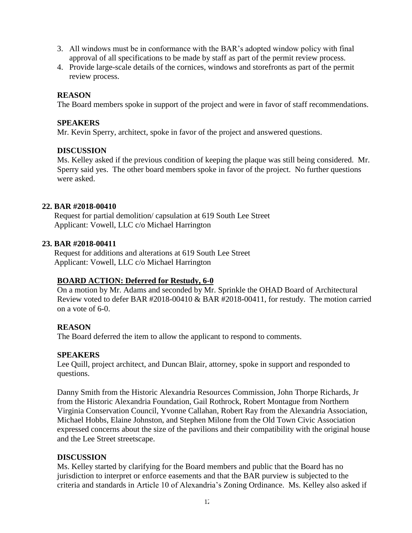- 3. All windows must be in conformance with the BAR's adopted window policy with final approval of all specifications to be made by staff as part of the permit review process.
- 4. Provide large-scale details of the cornices, windows and storefronts as part of the permit review process.

The Board members spoke in support of the project and were in favor of staff recommendations.

#### **SPEAKERS**

Mr. Kevin Sperry, architect, spoke in favor of the project and answered questions.

#### **DISCUSSION**

Ms. Kelley asked if the previous condition of keeping the plaque was still being considered. Mr. Sperry said yes. The other board members spoke in favor of the project. No further questions were asked.

#### **22. BAR #2018-00410**

Request for partial demolition/ capsulation at 619 South Lee Street Applicant: Vowell, LLC c/o Michael Harrington

#### **23. BAR #2018-00411**

Request for additions and alterations at 619 South Lee Street Applicant: Vowell, LLC c/o Michael Harrington

#### **BOARD ACTION: Deferred for Restudy, 6-0**

On a motion by Mr. Adams and seconded by Mr. Sprinkle the OHAD Board of Architectural Review voted to defer BAR #2018-00410 & BAR #2018-00411, for restudy. The motion carried on a vote of 6-0.

#### **REASON**

The Board deferred the item to allow the applicant to respond to comments.

#### **SPEAKERS**

Lee Quill, project architect, and Duncan Blair, attorney, spoke in support and responded to questions.

Danny Smith from the Historic Alexandria Resources Commission, John Thorpe Richards, Jr from the Historic Alexandria Foundation, Gail Rothrock, Robert Montague from Northern Virginia Conservation Council, Yvonne Callahan, Robert Ray from the Alexandria Association, Michael Hobbs, Elaine Johnston, and Stephen Milone from the Old Town Civic Association expressed concerns about the size of the pavilions and their compatibility with the original house and the Lee Street streetscape.

#### **DISCUSSION**

Ms. Kelley started by clarifying for the Board members and public that the Board has no jurisdiction to interpret or enforce easements and that the BAR purview is subjected to the criteria and standards in Article 10 of Alexandria's Zoning Ordinance. Ms. Kelley also asked if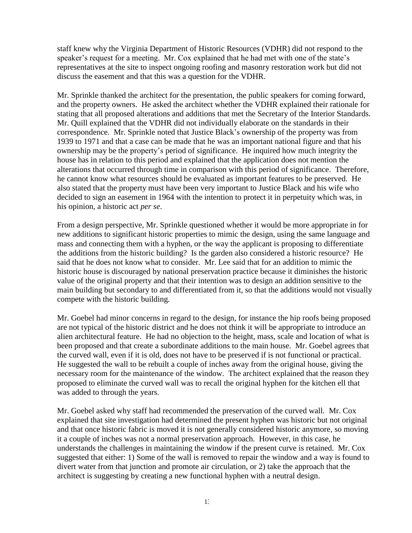staff knew why the Virginia Department of Historic Resources (VDHR) did not respond to the speaker's request for a meeting. Mr. Cox explained that he had met with one of the state's representatives at the site to inspect ongoing roofing and masonry restoration work but did not discuss the easement and that this was a question for the VDHR.

Mr. Sprinkle thanked the architect for the presentation, the public speakers for coming forward, and the property owners. He asked the architect whether the VDHR explained their rationale for stating that all proposed alterations and additions that met the Secretary of the Interior Standards. Mr. Quill explained that the VDHR did not individually elaborate on the standards in their correspondence. Mr. Sprinkle noted that Justice Black's ownership of the property was from 1939 to 1971 and that a case can be made that he was an important national figure and that his ownership may be the property's period of significance. He inquired how much integrity the house has in relation to this period and explained that the application does not mention the alterations that occurred through time in comparison with this period of significance. Therefore, he cannot know what resources should be evaluated as important features to be preserved. He also stated that the property must have been very important to Justice Black and his wife who decided to sign an easement in 1964 with the intention to protect it in perpetuity which was, in his opinion, a historic act *per se*.

From a design perspective, Mr. Sprinkle questioned whether it would be more appropriate in for new additions to significant historic properties to mimic the design, using the same language and mass and connecting them with a hyphen, or the way the applicant is proposing to differentiate the additions from the historic building? Is the garden also considered a historic resource? He said that he does not know what to consider. Mr. Lee said that for an addition to mimic the historic house is discouraged by national preservation practice because it diminishes the historic value of the original property and that their intention was to design an addition sensitive to the main building but secondary to and differentiated from it, so that the additions would not visually compete with the historic building.

Mr. Goebel had minor concerns in regard to the design, for instance the hip roofs being proposed are not typical of the historic district and he does not think it will be appropriate to introduce an alien architectural feature. He had no objection to the height, mass, scale and location of what is been proposed and that create a subordinate additions to the main house. Mr. Goebel agrees that the curved wall, even if it is old, does not have to be preserved if is not functional or practical. He suggested the wall to be rebuilt a couple of inches away from the original house, giving the necessary room for the maintenance of the window. The architect explained that the reason they proposed to eliminate the curved wall was to recall the original hyphen for the kitchen ell that was added to through the years.

Mr. Goebel asked why staff had recommended the preservation of the curved wall. Mr. Cox explained that site investigation had determined the present hyphen was historic but not original and that once historic fabric is moved it is not generally considered historic anymore, so moving it a couple of inches was not a normal preservation approach. However, in this case, he understands the challenges in maintaining the window if the present curve is retained. Mr. Cox suggested that either: 1) Some of the wall is removed to repair the window and a way is found to divert water from that junction and promote air circulation, or 2) take the approach that the architect is suggesting by creating a new functional hyphen with a neutral design.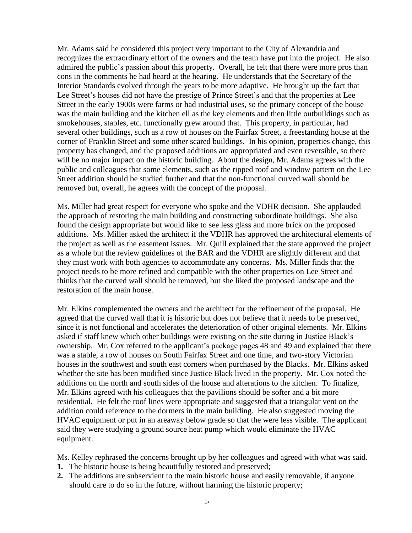Mr. Adams said he considered this project very important to the City of Alexandria and recognizes the extraordinary effort of the owners and the team have put into the project. He also admired the public's passion about this property. Overall, he felt that there were more pros than cons in the comments he had heard at the hearing. He understands that the Secretary of the Interior Standards evolved through the years to be more adaptive. He brought up the fact that Lee Street's houses did not have the prestige of Prince Street's and that the properties at Lee Street in the early 1900s were farms or had industrial uses, so the primary concept of the house was the main building and the kitchen ell as the key elements and then little outbuildings such as smokehouses, stables, etc. functionally grew around that. This property, in particular, had several other buildings, such as a row of houses on the Fairfax Street, a freestanding house at the corner of Franklin Street and some other scared buildings. In his opinion, properties change, this property has changed, and the proposed additions are appropriated and even reversible, so there will be no major impact on the historic building. About the design, Mr. Adams agrees with the public and colleagues that some elements, such as the ripped roof and window pattern on the Lee Street addition should be studied further and that the non-functional curved wall should be removed but, overall, he agrees with the concept of the proposal.

Ms. Miller had great respect for everyone who spoke and the VDHR decision. She applauded the approach of restoring the main building and constructing subordinate buildings. She also found the design appropriate but would like to see less glass and more brick on the proposed additions. Ms. Miller asked the architect if the VDHR has approved the architectural elements of the project as well as the easement issues. Mr. Quill explained that the state approved the project as a whole but the review guidelines of the BAR and the VDHR are slightly different and that they must work with both agencies to accommodate any concerns. Ms. Miller finds that the project needs to be more refined and compatible with the other properties on Lee Street and thinks that the curved wall should be removed, but she liked the proposed landscape and the restoration of the main house.

Mr. Elkins complemented the owners and the architect for the refinement of the proposal. He agreed that the curved wall that it is historic but does not believe that it needs to be preserved, since it is not functional and accelerates the deterioration of other original elements. Mr. Elkins asked if staff knew which other buildings were existing on the site during in Justice Black's ownership. Mr. Cox referred to the applicant's package pages 48 and 49 and explained that there was a stable, a row of houses on South Fairfax Street and one time, and two-story Victorian houses in the southwest and south east corners when purchased by the Blacks. Mr. Elkins asked whether the site has been modified since Justice Black lived in the property. Mr. Cox noted the additions on the north and south sides of the house and alterations to the kitchen. To finalize, Mr. Elkins agreed with his colleagues that the pavilions should be softer and a bit more residential. He felt the roof lines were appropriate and suggested that a triangular vent on the addition could reference to the dormers in the main building. He also suggested moving the HVAC equipment or put in an areaway below grade so that the were less visible. The applicant said they were studying a ground source heat pump which would eliminate the HVAC equipment.

Ms. Kelley rephrased the concerns brought up by her colleagues and agreed with what was said.

- **1.** The historic house is being beautifully restored and preserved;
- **2.** The additions are subservient to the main historic house and easily removable, if anyone should care to do so in the future, without harming the historic property;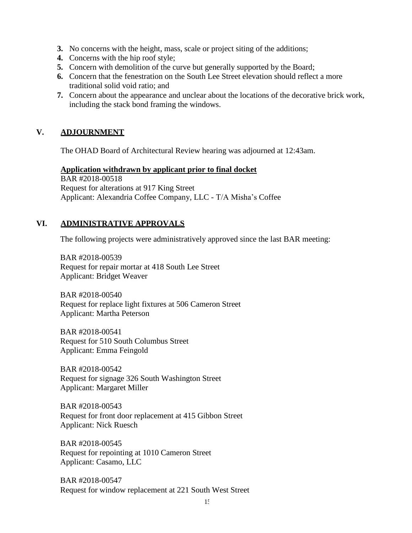- **3.** No concerns with the height, mass, scale or project siting of the additions;
- **4.** Concerns with the hip roof style;
- **5.** Concern with demolition of the curve but generally supported by the Board;
- **6.** Concern that the fenestration on the South Lee Street elevation should reflect a more traditional solid void ratio; and
- **7.** Concern about the appearance and unclear about the locations of the decorative brick work, including the stack bond framing the windows.

### **V. ADJOURNMENT**

The OHAD Board of Architectural Review hearing was adjourned at 12:43am.

#### **Application withdrawn by applicant prior to final docket**

BAR #2018-00518 Request for alterations at 917 King Street Applicant: Alexandria Coffee Company, LLC - T/A Misha's Coffee

# **VI. ADMINISTRATIVE APPROVALS**

The following projects were administratively approved since the last BAR meeting:

BAR #2018-00539 Request for repair mortar at 418 South Lee Street Applicant: Bridget Weaver

BAR #2018-00540 Request for replace light fixtures at 506 Cameron Street Applicant: Martha Peterson

BAR #2018-00541 Request for 510 South Columbus Street Applicant: Emma Feingold

BAR #2018-00542 Request for signage 326 South Washington Street Applicant: Margaret Miller

BAR #2018-00543 Request for front door replacement at 415 Gibbon Street Applicant: Nick Ruesch

BAR #2018-00545 Request for repointing at 1010 Cameron Street Applicant: Casamo, LLC

BAR #2018-00547 Request for window replacement at 221 South West Street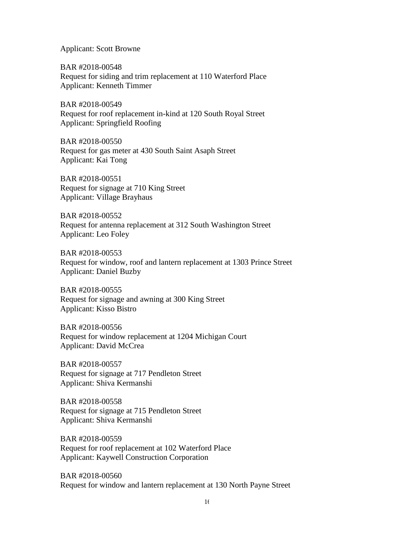Applicant: Scott Browne

BAR #2018-00548 Request for siding and trim replacement at 110 Waterford Place Applicant: Kenneth Timmer

BAR #2018-00549 Request for roof replacement in-kind at 120 South Royal Street Applicant: Springfield Roofing

BAR #2018-00550 Request for gas meter at 430 South Saint Asaph Street Applicant: Kai Tong

BAR #2018-00551 Request for signage at 710 King Street Applicant: Village Brayhaus

BAR #2018-00552 Request for antenna replacement at 312 South Washington Street Applicant: Leo Foley

BAR #2018-00553 Request for window, roof and lantern replacement at 1303 Prince Street Applicant: Daniel Buzby

BAR #2018-00555 Request for signage and awning at 300 King Street Applicant: Kisso Bistro

BAR #2018-00556 Request for window replacement at 1204 Michigan Court Applicant: David McCrea

BAR #2018-00557 Request for signage at 717 Pendleton Street Applicant: Shiva Kermanshi

BAR #2018-00558 Request for signage at 715 Pendleton Street Applicant: Shiva Kermanshi

BAR #2018-00559 Request for roof replacement at 102 Waterford Place Applicant: Kaywell Construction Corporation

BAR #2018-00560 Request for window and lantern replacement at 130 North Payne Street